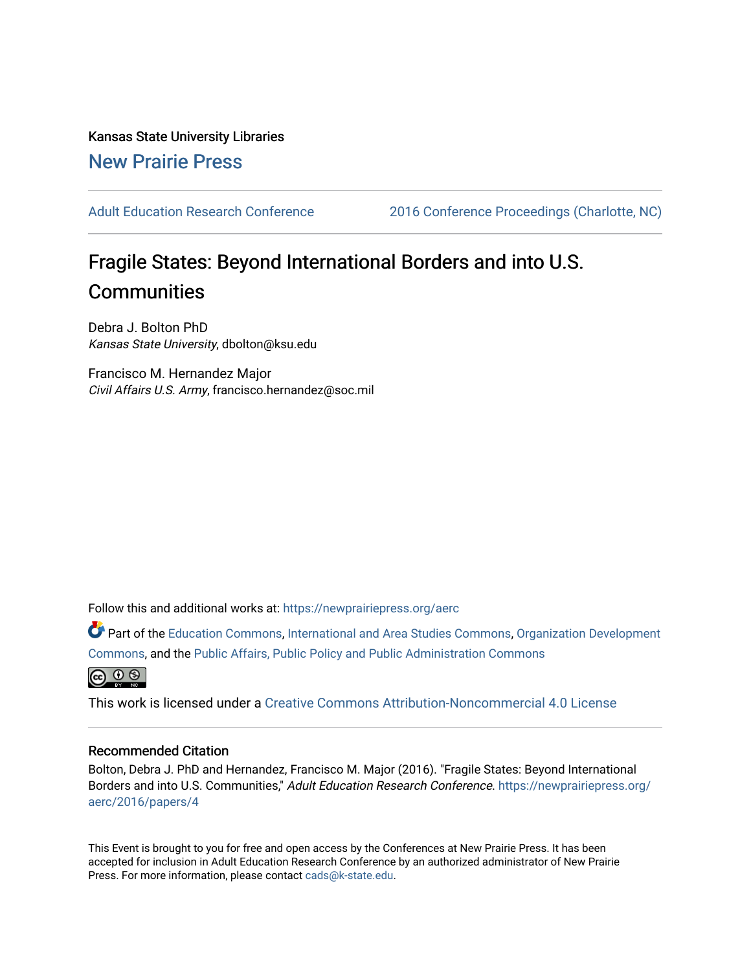Kansas State University Libraries [New Prairie Press](https://newprairiepress.org/) 

[Adult Education Research Conference](https://newprairiepress.org/aerc) [2016 Conference Proceedings \(Charlotte, NC\)](https://newprairiepress.org/aerc/2016) 

# Fragile States: Beyond International Borders and into U.S. **Communities**

Debra J. Bolton PhD Kansas State University, dbolton@ksu.edu

Francisco M. Hernandez Major Civil Affairs U.S. Army, francisco.hernandez@soc.mil

Follow this and additional works at: [https://newprairiepress.org/aerc](https://newprairiepress.org/aerc?utm_source=newprairiepress.org%2Faerc%2F2016%2Fpapers%2F4&utm_medium=PDF&utm_campaign=PDFCoverPages)

Part of the [Education Commons](http://network.bepress.com/hgg/discipline/784?utm_source=newprairiepress.org%2Faerc%2F2016%2Fpapers%2F4&utm_medium=PDF&utm_campaign=PDFCoverPages), [International and Area Studies Commons,](http://network.bepress.com/hgg/discipline/360?utm_source=newprairiepress.org%2Faerc%2F2016%2Fpapers%2F4&utm_medium=PDF&utm_campaign=PDFCoverPages) [Organization Development](http://network.bepress.com/hgg/discipline/1242?utm_source=newprairiepress.org%2Faerc%2F2016%2Fpapers%2F4&utm_medium=PDF&utm_campaign=PDFCoverPages)  [Commons](http://network.bepress.com/hgg/discipline/1242?utm_source=newprairiepress.org%2Faerc%2F2016%2Fpapers%2F4&utm_medium=PDF&utm_campaign=PDFCoverPages), and the [Public Affairs, Public Policy and Public Administration Commons](http://network.bepress.com/hgg/discipline/393?utm_source=newprairiepress.org%2Faerc%2F2016%2Fpapers%2F4&utm_medium=PDF&utm_campaign=PDFCoverPages) 



This work is licensed under a [Creative Commons Attribution-Noncommercial 4.0 License](https://creativecommons.org/licenses/by-nc/4.0/)

## Recommended Citation

Bolton, Debra J. PhD and Hernandez, Francisco M. Major (2016). "Fragile States: Beyond International Borders and into U.S. Communities," Adult Education Research Conference. [https://newprairiepress.org/](https://newprairiepress.org/aerc/2016/papers/4) [aerc/2016/papers/4](https://newprairiepress.org/aerc/2016/papers/4)

This Event is brought to you for free and open access by the Conferences at New Prairie Press. It has been accepted for inclusion in Adult Education Research Conference by an authorized administrator of New Prairie Press. For more information, please contact [cads@k-state.edu.](mailto:cads@k-state.edu)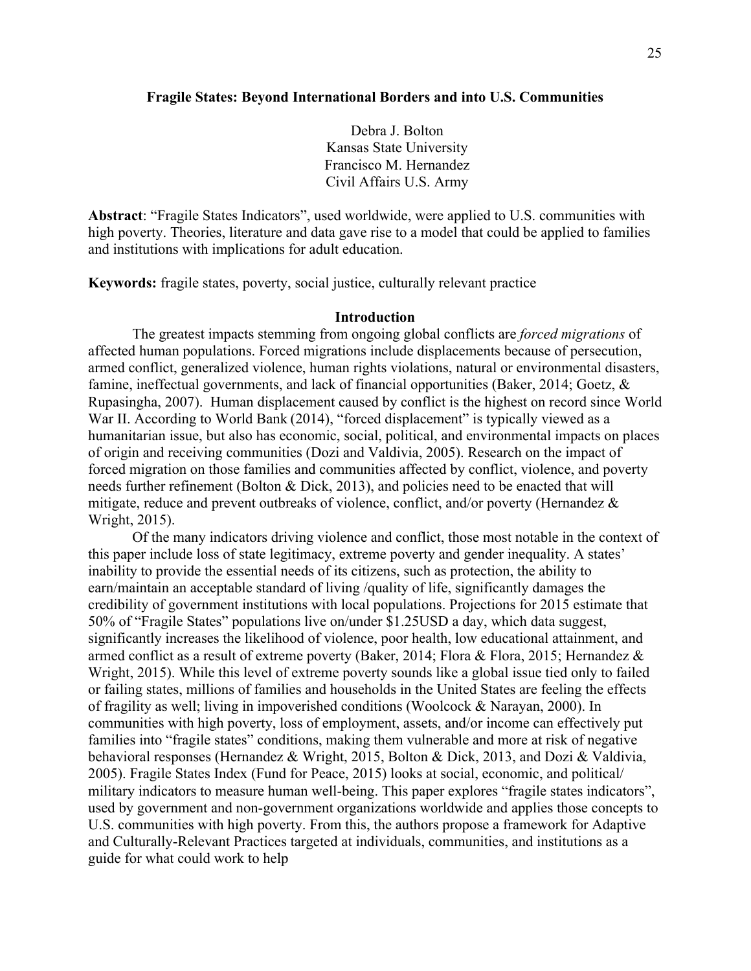#### **Fragile States: Beyond International Borders and into U.S. Communities**

Debra J. Bolton Kansas State University Francisco M. Hernandez Civil Affairs U.S. Army

**Abstract**: "Fragile States Indicators", used worldwide, were applied to U.S. communities with high poverty. Theories, literature and data gave rise to a model that could be applied to families and institutions with implications for adult education.

**Keywords:** fragile states, poverty, social justice, culturally relevant practice

#### **Introduction**

The greatest impacts stemming from ongoing global conflicts are *forced migrations* of affected human populations. Forced migrations include displacements because of persecution, armed conflict, generalized violence, human rights violations, natural or environmental disasters, famine, ineffectual governments, and lack of financial opportunities (Baker, 2014; Goetz, & Rupasingha, 2007). Human displacement caused by conflict is the highest on record since World War II. According to World Bank (2014), "forced displacement" is typically viewed as a humanitarian issue, but also has economic, social, political, and environmental impacts on places of origin and receiving communities (Dozi and Valdivia, 2005). Research on the impact of forced migration on those families and communities affected by conflict, violence, and poverty needs further refinement (Bolton & Dick, 2013), and policies need to be enacted that will mitigate, reduce and prevent outbreaks of violence, conflict, and/or poverty (Hernandez & Wright, 2015).

Of the many indicators driving violence and conflict, those most notable in the context of this paper include loss of state legitimacy, extreme poverty and gender inequality. A states' inability to provide the essential needs of its citizens, such as protection, the ability to earn/maintain an acceptable standard of living /quality of life, significantly damages the credibility of government institutions with local populations. Projections for 2015 estimate that 50% of "Fragile States" populations live on/under \$1.25USD a day, which data suggest, significantly increases the likelihood of violence, poor health, low educational attainment, and armed conflict as a result of extreme poverty (Baker, 2014; Flora & Flora, 2015; Hernandez & Wright, 2015). While this level of extreme poverty sounds like a global issue tied only to failed or failing states, millions of families and households in the United States are feeling the effects of fragility as well; living in impoverished conditions (Woolcock & Narayan, 2000). In communities with high poverty, loss of employment, assets, and/or income can effectively put families into "fragile states" conditions, making them vulnerable and more at risk of negative behavioral responses (Hernandez & Wright, 2015, Bolton & Dick, 2013, and Dozi & Valdivia, 2005). Fragile States Index (Fund for Peace, 2015) looks at social, economic, and political/ military indicators to measure human well-being. This paper explores "fragile states indicators", used by government and non-government organizations worldwide and applies those concepts to U.S. communities with high poverty. From this, the authors propose a framework for Adaptive and Culturally-Relevant Practices targeted at individuals, communities, and institutions as a guide for what could work to help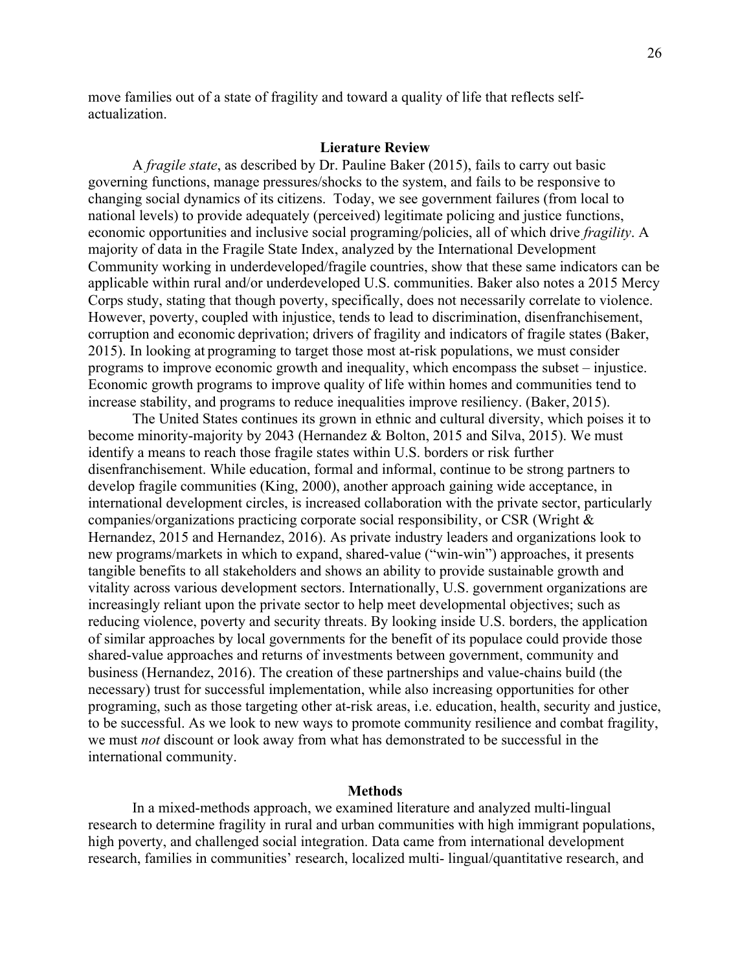move families out of a state of fragility and toward a quality of life that reflects selfactualization.

#### **Lierature Review**

A *fragile state*, as described by Dr. Pauline Baker (2015), fails to carry out basic governing functions, manage pressures/shocks to the system, and fails to be responsive to changing social dynamics of its citizens. Today, we see government failures (from local to national levels) to provide adequately (perceived) legitimate policing and justice functions, economic opportunities and inclusive social programing/policies, all of which drive *fragility*. A majority of data in the Fragile State Index, analyzed by the International Development Community working in underdeveloped/fragile countries, show that these same indicators can be applicable within rural and/or underdeveloped U.S. communities. Baker also notes a 2015 Mercy Corps study, stating that though poverty, specifically, does not necessarily correlate to violence. However, poverty, coupled with injustice, tends to lead to discrimination, disenfranchisement, corruption and economic deprivation; drivers of fragility and indicators of fragile states (Baker, 2015). In looking at programing to target those most at-risk populations, we must consider programs to improve economic growth and inequality, which encompass the subset – injustice. Economic growth programs to improve quality of life within homes and communities tend to increase stability, and programs to reduce inequalities improve resiliency. (Baker, 2015).

The United States continues its grown in ethnic and cultural diversity, which poises it to become minority-majority by 2043 (Hernandez & Bolton, 2015 and Silva, 2015). We must identify a means to reach those fragile states within U.S. borders or risk further disenfranchisement. While education, formal and informal, continue to be strong partners to develop fragile communities (King, 2000), another approach gaining wide acceptance, in international development circles, is increased collaboration with the private sector, particularly companies/organizations practicing corporate social responsibility, or CSR (Wright & Hernandez, 2015 and Hernandez, 2016). As private industry leaders and organizations look to new programs/markets in which to expand, shared-value ("win-win") approaches, it presents tangible benefits to all stakeholders and shows an ability to provide sustainable growth and vitality across various development sectors. Internationally, U.S. government organizations are increasingly reliant upon the private sector to help meet developmental objectives; such as reducing violence, poverty and security threats. By looking inside U.S. borders, the application of similar approaches by local governments for the benefit of its populace could provide those shared-value approaches and returns of investments between government, community and business (Hernandez, 2016). The creation of these partnerships and value-chains build (the necessary) trust for successful implementation, while also increasing opportunities for other programing, such as those targeting other at-risk areas, i.e. education, health, security and justice, to be successful. As we look to new ways to promote community resilience and combat fragility, we must *not* discount or look away from what has demonstrated to be successful in the international community.

#### **Methods**

In a mixed-methods approach, we examined literature and analyzed multi-lingual research to determine fragility in rural and urban communities with high immigrant populations, high poverty, and challenged social integration. Data came from international development research, families in communities' research, localized multi- lingual/quantitative research, and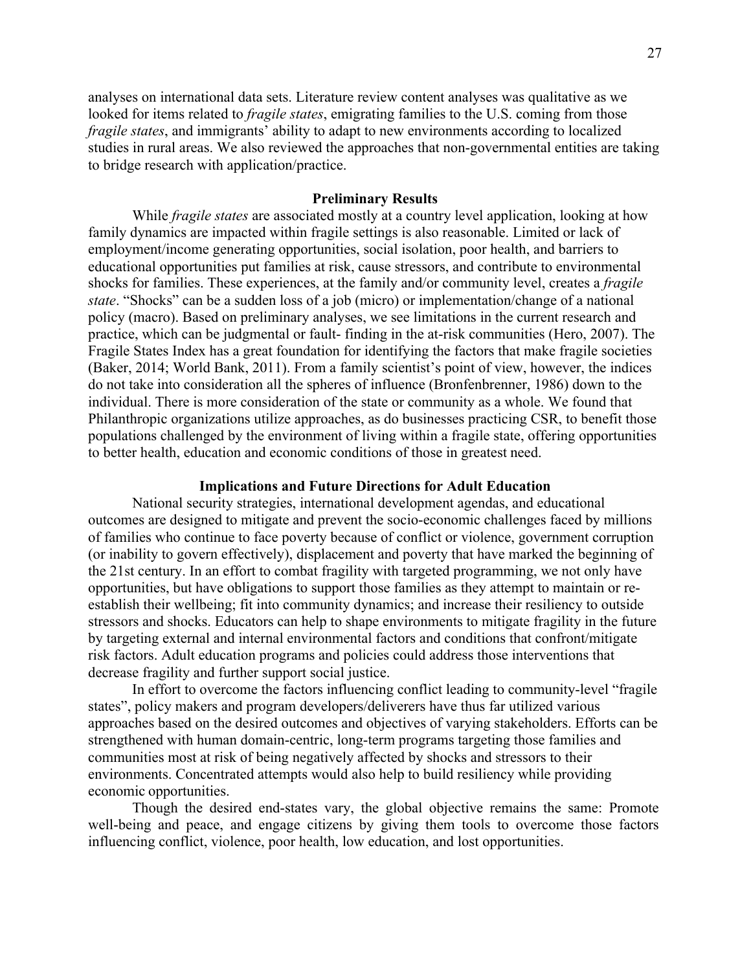analyses on international data sets. Literature review content analyses was qualitative as we looked for items related to *fragile states*, emigrating families to the U.S. coming from those *fragile states*, and immigrants' ability to adapt to new environments according to localized studies in rural areas. We also reviewed the approaches that non-governmental entities are taking to bridge research with application/practice.

#### **Preliminary Results**

While *fragile states* are associated mostly at a country level application, looking at how family dynamics are impacted within fragile settings is also reasonable. Limited or lack of employment/income generating opportunities, social isolation, poor health, and barriers to educational opportunities put families at risk, cause stressors, and contribute to environmental shocks for families. These experiences, at the family and/or community level, creates a *fragile state*. "Shocks" can be a sudden loss of a job (micro) or implementation/change of a national policy (macro). Based on preliminary analyses, we see limitations in the current research and practice, which can be judgmental or fault- finding in the at-risk communities (Hero, 2007). The Fragile States Index has a great foundation for identifying the factors that make fragile societies (Baker, 2014; World Bank, 2011). From a family scientist's point of view, however, the indices do not take into consideration all the spheres of influence (Bronfenbrenner, 1986) down to the individual. There is more consideration of the state or community as a whole. We found that Philanthropic organizations utilize approaches, as do businesses practicing CSR, to benefit those populations challenged by the environment of living within a fragile state, offering opportunities to better health, education and economic conditions of those in greatest need.

#### **Implications and Future Directions for Adult Education**

National security strategies, international development agendas, and educational outcomes are designed to mitigate and prevent the socio-economic challenges faced by millions of families who continue to face poverty because of conflict or violence, government corruption (or inability to govern effectively), displacement and poverty that have marked the beginning of the 21st century. In an effort to combat fragility with targeted programming, we not only have opportunities, but have obligations to support those families as they attempt to maintain or reestablish their wellbeing; fit into community dynamics; and increase their resiliency to outside stressors and shocks. Educators can help to shape environments to mitigate fragility in the future by targeting external and internal environmental factors and conditions that confront/mitigate risk factors. Adult education programs and policies could address those interventions that decrease fragility and further support social justice.

In effort to overcome the factors influencing conflict leading to community-level "fragile states", policy makers and program developers/deliverers have thus far utilized various approaches based on the desired outcomes and objectives of varying stakeholders. Efforts can be strengthened with human domain-centric, long-term programs targeting those families and communities most at risk of being negatively affected by shocks and stressors to their environments. Concentrated attempts would also help to build resiliency while providing economic opportunities.

Though the desired end-states vary, the global objective remains the same: Promote well-being and peace, and engage citizens by giving them tools to overcome those factors influencing conflict, violence, poor health, low education, and lost opportunities.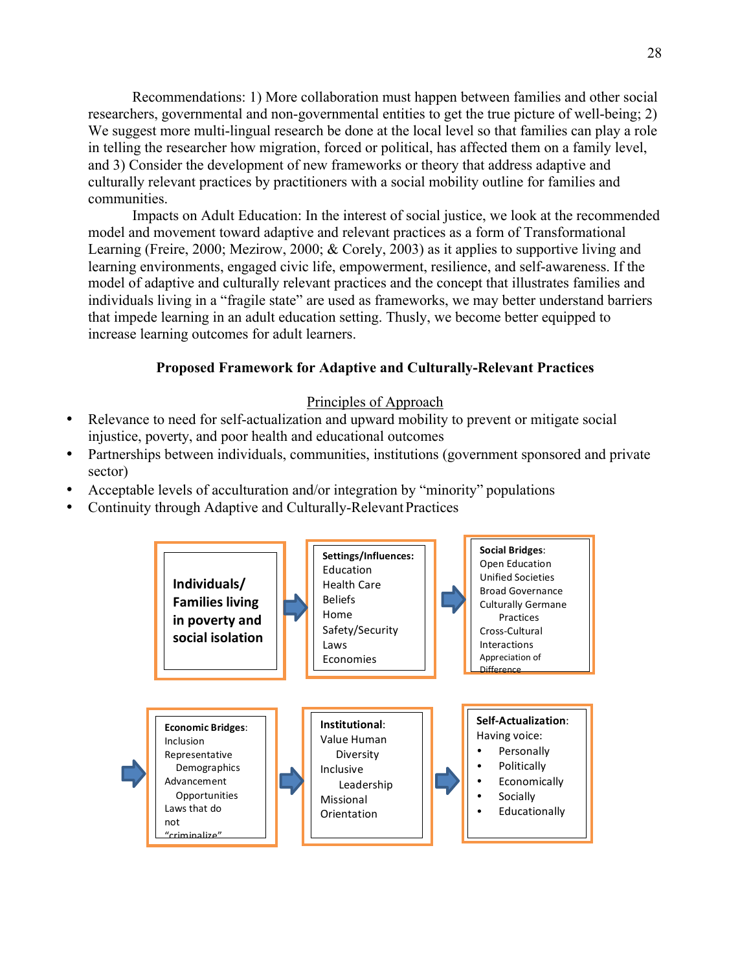Recommendations: 1) More collaboration must happen between families and other social researchers, governmental and non-governmental entities to get the true picture of well-being; 2) We suggest more multi-lingual research be done at the local level so that families can play a role in telling the researcher how migration, forced or political, has affected them on a family level, and 3) Consider the development of new frameworks or theory that address adaptive and culturally relevant practices by practitioners with a social mobility outline for families and communities.

Impacts on Adult Education: In the interest of social justice, we look at the recommended model and movement toward adaptive and relevant practices as a form of Transformational Learning (Freire, 2000; Mezirow, 2000; & Corely, 2003) as it applies to supportive living and learning environments, engaged civic life, empowerment, resilience, and self-awareness. If the model of adaptive and culturally relevant practices and the concept that illustrates families and individuals living in a "fragile state" are used as frameworks, we may better understand barriers that impede learning in an adult education setting. Thusly, we become better equipped to increase learning outcomes for adult learners.

# **Proposed Framework for Adaptive and Culturally-Relevant Practices**

## Principles of Approach

- Relevance to need for self-actualization and upward mobility to prevent or mitigate social injustice, poverty, and poor health and educational outcomes
- Partnerships between individuals, communities, institutions (government sponsored and private sector)
- Acceptable levels of acculturation and/or integration by "minority" populations
- Continuity through Adaptive and Culturally-Relevant Practices

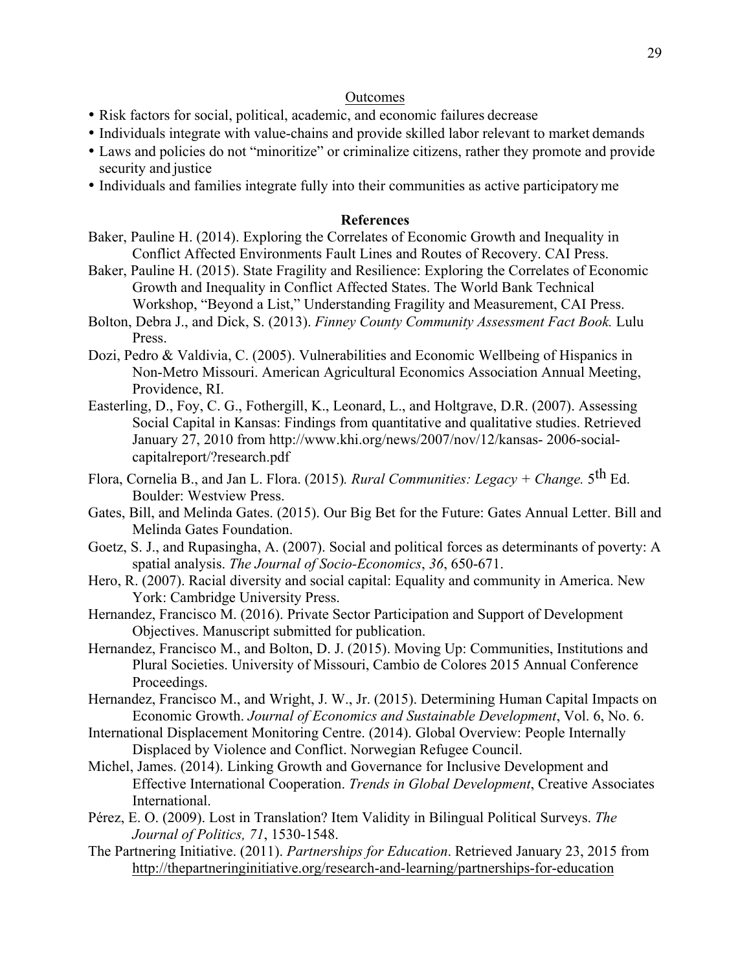## **Outcomes**

- Risk factors for social, political, academic, and economic failures decrease
- Individuals integrate with value-chains and provide skilled labor relevant to market demands
- Laws and policies do not "minoritize" or criminalize citizens, rather they promote and provide security and justice
- Individuals and families integrate fully into their communities as active participatory me

## **References**

- Baker, Pauline H. (2014). Exploring the Correlates of Economic Growth and Inequality in Conflict Affected Environments Fault Lines and Routes of Recovery. CAI Press.
- Baker, Pauline H. (2015). State Fragility and Resilience: Exploring the Correlates of Economic Growth and Inequality in Conflict Affected States. The World Bank Technical Workshop, "Beyond a List," Understanding Fragility and Measurement, CAI Press.
- Bolton, Debra J., and Dick, S. (2013). *Finney County Community Assessment Fact Book.* Lulu Press.
- Dozi, Pedro & Valdivia, C. (2005). Vulnerabilities and Economic Wellbeing of Hispanics in Non-Metro Missouri. American Agricultural Economics Association Annual Meeting, Providence, RI.
- Easterling, D., Foy, C. G., Fothergill, K., Leonard, L., and Holtgrave, D.R. (2007). Assessing Social Capital in Kansas: Findings from quantitative and qualitative studies. Retrieved January 27, 2010 from http://www.khi.org/news/2007/nov/12/kansas- 2006-socialcapitalreport/?research.pdf
- Flora, Cornelia B., and Jan L. Flora. (2015)*. Rural Communities: Legacy + Change.* 5th Ed. Boulder: Westview Press.
- Gates, Bill, and Melinda Gates. (2015). Our Big Bet for the Future: Gates Annual Letter. Bill and Melinda Gates Foundation.
- Goetz, S. J., and Rupasingha, A. (2007). Social and political forces as determinants of poverty: A spatial analysis. *The Journal of Socio-Economics*, *36*, 650-671.
- Hero, R. (2007). Racial diversity and social capital: Equality and community in America. New York: Cambridge University Press.
- Hernandez, Francisco M. (2016). Private Sector Participation and Support of Development Objectives. Manuscript submitted for publication.
- Hernandez, Francisco M., and Bolton, D. J. (2015). Moving Up: Communities, Institutions and Plural Societies. University of Missouri, Cambio de Colores 2015 Annual Conference Proceedings.
- Hernandez, Francisco M., and Wright, J. W., Jr. (2015). Determining Human Capital Impacts on Economic Growth. *Journal of Economics and Sustainable Development*, Vol. 6, No. 6.
- International Displacement Monitoring Centre. (2014). Global Overview: People Internally Displaced by Violence and Conflict. Norwegian Refugee Council.
- Michel, James. (2014). Linking Growth and Governance for Inclusive Development and Effective International Cooperation. *Trends in Global Development*, Creative Associates International.
- Pérez, E. O. (2009). Lost in Translation? Item Validity in Bilingual Political Surveys. *The Journal of Politics, 71*, 1530-1548.
- The Partnering Initiative. (2011). *Partnerships for Education*. Retrieved January 23, 2015 from http://thepartneringinitiative.org/research-and-learning/partnerships-for-education